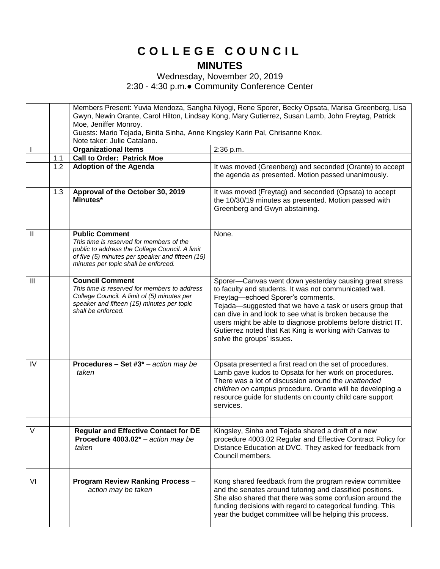## **C O L L E G E C O U N C I L MINUTES**

Wednesday, November 20, 2019 2:30 - 4:30 p.m.● Community Conference Center

|                |     | Members Present: Yuvia Mendoza, Sangha Niyogi, Rene Sporer, Becky Opsata, Marisa Greenberg, Lisa  |                                                              |  |
|----------------|-----|---------------------------------------------------------------------------------------------------|--------------------------------------------------------------|--|
|                |     | Gwyn, Newin Orante, Carol Hilton, Lindsay Kong, Mary Gutierrez, Susan Lamb, John Freytag, Patrick |                                                              |  |
|                |     | Moe, Jeniffer Monroy.                                                                             |                                                              |  |
|                |     | Guests: Mario Tejada, Binita Sinha, Anne Kingsley Karin Pal, Chrisanne Knox.                      |                                                              |  |
|                |     | Note taker: Julie Catalano.                                                                       |                                                              |  |
|                |     | <b>Organizational Items</b>                                                                       | 2:36 p.m.                                                    |  |
|                | 1.1 | <b>Call to Order: Patrick Moe</b>                                                                 |                                                              |  |
|                | 1.2 | <b>Adoption of the Agenda</b>                                                                     | It was moved (Greenberg) and seconded (Orante) to accept     |  |
|                |     |                                                                                                   | the agenda as presented. Motion passed unanimously.          |  |
|                |     |                                                                                                   |                                                              |  |
|                | 1.3 | Approval of the October 30, 2019                                                                  | It was moved (Freytag) and seconded (Opsata) to accept       |  |
|                |     | Minutes*                                                                                          | the 10/30/19 minutes as presented. Motion passed with        |  |
|                |     |                                                                                                   | Greenberg and Gwyn abstaining.                               |  |
|                |     |                                                                                                   |                                                              |  |
|                |     |                                                                                                   |                                                              |  |
| $\mathbf{I}$   |     | <b>Public Comment</b><br>This time is reserved for members of the                                 | None.                                                        |  |
|                |     | public to address the College Council. A limit                                                    |                                                              |  |
|                |     | of five (5) minutes per speaker and fifteen (15)                                                  |                                                              |  |
|                |     | minutes per topic shall be enforced.                                                              |                                                              |  |
|                |     |                                                                                                   |                                                              |  |
| $\mathbf{III}$ |     | <b>Council Comment</b>                                                                            | Sporer-Canvas went down yesterday causing great stress       |  |
|                |     | This time is reserved for members to address                                                      | to faculty and students. It was not communicated well.       |  |
|                |     | College Council. A limit of (5) minutes per                                                       | Freytag-echoed Sporer's comments.                            |  |
|                |     | speaker and fifteen (15) minutes per topic<br>shall be enforced.                                  | Tejada-suggested that we have a task or users group that     |  |
|                |     |                                                                                                   | can dive in and look to see what is broken because the       |  |
|                |     |                                                                                                   | users might be able to diagnose problems before district IT. |  |
|                |     |                                                                                                   | Gutierrez noted that Kat King is working with Canvas to      |  |
|                |     |                                                                                                   | solve the groups' issues.                                    |  |
|                |     |                                                                                                   |                                                              |  |
| IV             |     | <b>Procedures - Set #3</b> $*$ - action may be                                                    | Opsata presented a first read on the set of procedures.      |  |
|                |     | taken                                                                                             | Lamb gave kudos to Opsata for her work on procedures.        |  |
|                |     |                                                                                                   | There was a lot of discussion around the unattended          |  |
|                |     |                                                                                                   | children on campus procedure. Orante will be developing a    |  |
|                |     |                                                                                                   | resource guide for students on county child care support     |  |
|                |     |                                                                                                   | services.                                                    |  |
|                |     |                                                                                                   |                                                              |  |
|                |     |                                                                                                   |                                                              |  |
| $\vee$         |     | <b>Regular and Effective Contact for DE</b>                                                       | Kingsley, Sinha and Tejada shared a draft of a new           |  |
|                |     | Procedure $4003.02^*$ – action may be                                                             | procedure 4003.02 Regular and Effective Contract Policy for  |  |
|                |     | taken                                                                                             | Distance Education at DVC. They asked for feedback from      |  |
|                |     |                                                                                                   | Council members.                                             |  |
|                |     |                                                                                                   |                                                              |  |
|                |     |                                                                                                   |                                                              |  |
| VI             |     | <b>Program Review Ranking Process -</b>                                                           | Kong shared feedback from the program review committee       |  |
|                |     | action may be taken                                                                               | and the senates around tutoring and classified positions.    |  |
|                |     |                                                                                                   | She also shared that there was some confusion around the     |  |
|                |     |                                                                                                   | funding decisions with regard to categorical funding. This   |  |
|                |     |                                                                                                   | year the budget committee will be helping this process.      |  |
|                |     |                                                                                                   |                                                              |  |